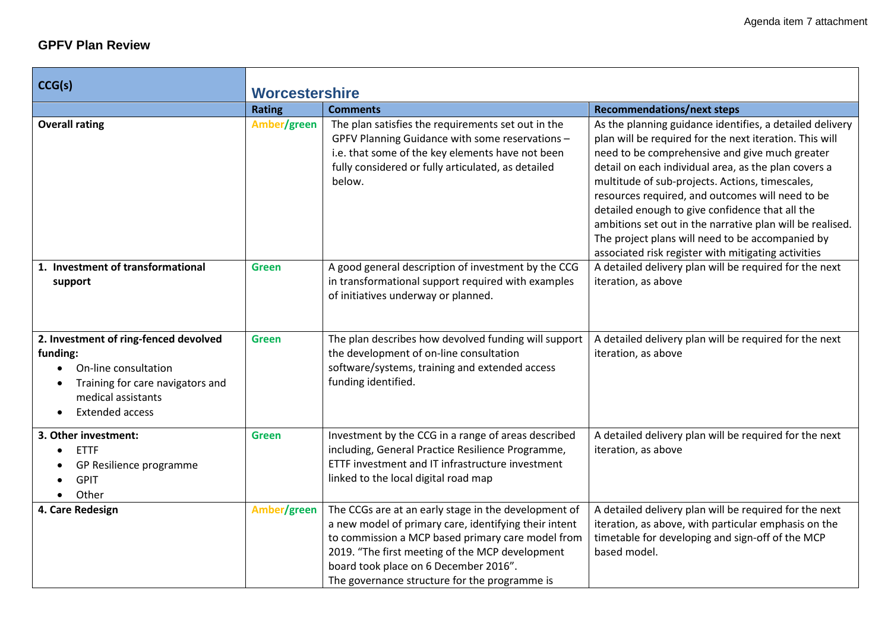### **GPFV Plan Review**

**The Contract of the Contract of the Contract of the Contract of the Contract of the Contract of the Contract o** 

| CCG(s)                                                                                                                                                                                  | <b>Worcestershire</b> |                                                                                                                                                                                                                                                                                                                 |                                                                                                                                                                                                                                                                                                                                                                                                                                                                                                                                                                 |
|-----------------------------------------------------------------------------------------------------------------------------------------------------------------------------------------|-----------------------|-----------------------------------------------------------------------------------------------------------------------------------------------------------------------------------------------------------------------------------------------------------------------------------------------------------------|-----------------------------------------------------------------------------------------------------------------------------------------------------------------------------------------------------------------------------------------------------------------------------------------------------------------------------------------------------------------------------------------------------------------------------------------------------------------------------------------------------------------------------------------------------------------|
|                                                                                                                                                                                         | <b>Rating</b>         | <b>Comments</b>                                                                                                                                                                                                                                                                                                 | <b>Recommendations/next steps</b>                                                                                                                                                                                                                                                                                                                                                                                                                                                                                                                               |
| <b>Overall rating</b>                                                                                                                                                                   | Amber/green           | The plan satisfies the requirements set out in the<br>GPFV Planning Guidance with some reservations -<br>i.e. that some of the key elements have not been<br>fully considered or fully articulated, as detailed<br>below.                                                                                       | As the planning guidance identifies, a detailed delivery<br>plan will be required for the next iteration. This will<br>need to be comprehensive and give much greater<br>detail on each individual area, as the plan covers a<br>multitude of sub-projects. Actions, timescales,<br>resources required, and outcomes will need to be<br>detailed enough to give confidence that all the<br>ambitions set out in the narrative plan will be realised.<br>The project plans will need to be accompanied by<br>associated risk register with mitigating activities |
| 1. Investment of transformational<br>support                                                                                                                                            | <b>Green</b>          | A good general description of investment by the CCG<br>in transformational support required with examples<br>of initiatives underway or planned.                                                                                                                                                                | A detailed delivery plan will be required for the next<br>iteration, as above                                                                                                                                                                                                                                                                                                                                                                                                                                                                                   |
| 2. Investment of ring-fenced devolved<br>funding:<br>On-line consultation<br>Training for care navigators and<br>$\bullet$<br>medical assistants<br><b>Extended access</b><br>$\bullet$ | <b>Green</b>          | The plan describes how devolved funding will support<br>the development of on-line consultation<br>software/systems, training and extended access<br>funding identified.                                                                                                                                        | A detailed delivery plan will be required for the next<br>iteration, as above                                                                                                                                                                                                                                                                                                                                                                                                                                                                                   |
| 3. Other investment:<br><b>ETTF</b><br>$\bullet$<br>GP Resilience programme<br><b>GPIT</b><br>Other                                                                                     | <b>Green</b>          | Investment by the CCG in a range of areas described<br>including, General Practice Resilience Programme,<br>ETTF investment and IT infrastructure investment<br>linked to the local digital road map                                                                                                            | A detailed delivery plan will be required for the next<br>iteration, as above                                                                                                                                                                                                                                                                                                                                                                                                                                                                                   |
| 4. Care Redesign                                                                                                                                                                        | Amber/green           | The CCGs are at an early stage in the development of<br>a new model of primary care, identifying their intent<br>to commission a MCP based primary care model from<br>2019. "The first meeting of the MCP development<br>board took place on 6 December 2016".<br>The governance structure for the programme is | A detailed delivery plan will be required for the next<br>iteration, as above, with particular emphasis on the<br>timetable for developing and sign-off of the MCP<br>based model.                                                                                                                                                                                                                                                                                                                                                                              |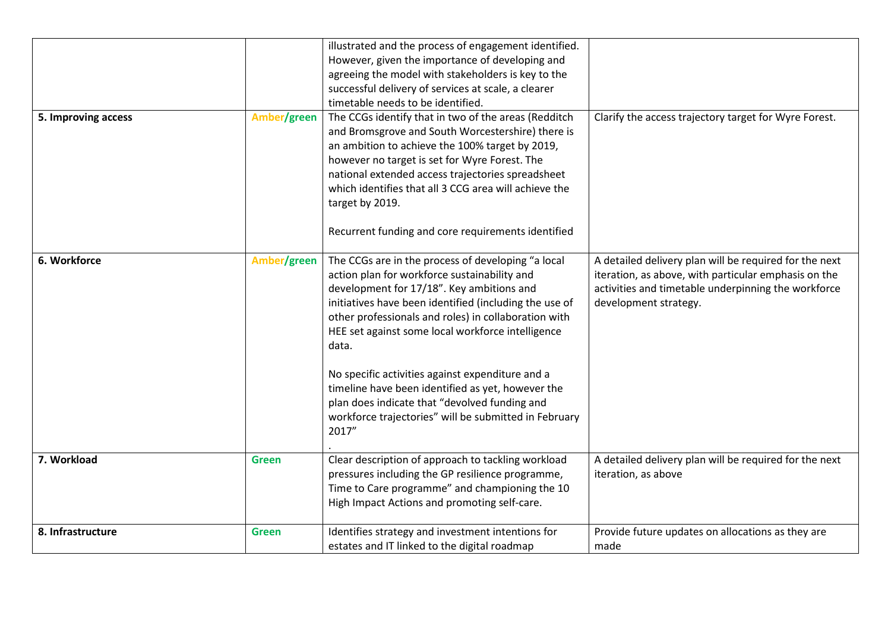|                     |              | illustrated and the process of engagement identified.<br>However, given the importance of developing and<br>agreeing the model with stakeholders is key to the                                                                                                                                                                                 |                                                                                                                                                                                                |
|---------------------|--------------|------------------------------------------------------------------------------------------------------------------------------------------------------------------------------------------------------------------------------------------------------------------------------------------------------------------------------------------------|------------------------------------------------------------------------------------------------------------------------------------------------------------------------------------------------|
|                     |              | successful delivery of services at scale, a clearer                                                                                                                                                                                                                                                                                            |                                                                                                                                                                                                |
|                     |              | timetable needs to be identified.                                                                                                                                                                                                                                                                                                              |                                                                                                                                                                                                |
| 5. Improving access | Amber/green  | The CCGs identify that in two of the areas (Redditch<br>and Bromsgrove and South Worcestershire) there is<br>an ambition to achieve the 100% target by 2019,<br>however no target is set for Wyre Forest. The<br>national extended access trajectories spreadsheet<br>which identifies that all 3 CCG area will achieve the<br>target by 2019. | Clarify the access trajectory target for Wyre Forest.                                                                                                                                          |
|                     |              | Recurrent funding and core requirements identified                                                                                                                                                                                                                                                                                             |                                                                                                                                                                                                |
| 6. Workforce        | Amber/green  | The CCGs are in the process of developing "a local<br>action plan for workforce sustainability and<br>development for 17/18". Key ambitions and<br>initiatives have been identified (including the use of<br>other professionals and roles) in collaboration with<br>HEE set against some local workforce intelligence<br>data.                | A detailed delivery plan will be required for the next<br>iteration, as above, with particular emphasis on the<br>activities and timetable underpinning the workforce<br>development strategy. |
|                     |              | No specific activities against expenditure and a<br>timeline have been identified as yet, however the<br>plan does indicate that "devolved funding and<br>workforce trajectories" will be submitted in February<br>2017"                                                                                                                       |                                                                                                                                                                                                |
| 7. Workload         | <b>Green</b> | Clear description of approach to tackling workload<br>pressures including the GP resilience programme,<br>Time to Care programme" and championing the 10<br>High Impact Actions and promoting self-care.                                                                                                                                       | A detailed delivery plan will be required for the next<br>iteration, as above                                                                                                                  |
| 8. Infrastructure   | <b>Green</b> | Identifies strategy and investment intentions for<br>estates and IT linked to the digital roadmap                                                                                                                                                                                                                                              | Provide future updates on allocations as they are<br>made                                                                                                                                      |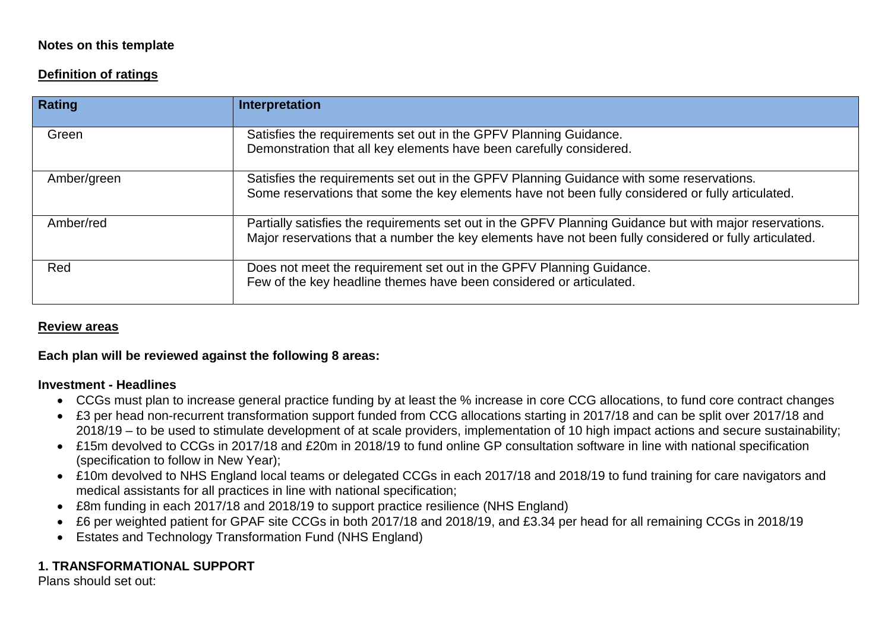#### **Notes on this template**

### **Definition of ratings**

| <b>Rating</b> | Interpretation                                                                                                                                                                                                    |
|---------------|-------------------------------------------------------------------------------------------------------------------------------------------------------------------------------------------------------------------|
| Green         | Satisfies the requirements set out in the GPFV Planning Guidance.<br>Demonstration that all key elements have been carefully considered.                                                                          |
| Amber/green   | Satisfies the requirements set out in the GPFV Planning Guidance with some reservations.<br>Some reservations that some the key elements have not been fully considered or fully articulated.                     |
| Amber/red     | Partially satisfies the requirements set out in the GPFV Planning Guidance but with major reservations.<br>Major reservations that a number the key elements have not been fully considered or fully articulated. |
| Red           | Does not meet the requirement set out in the GPFV Planning Guidance.<br>Few of the key headline themes have been considered or articulated.                                                                       |

#### **Review areas**

#### **Each plan will be reviewed against the following 8 areas:**

#### **Investment - Headlines**

- CCGs must plan to increase general practice funding by at least the % increase in core CCG allocations, to fund core contract changes
- £3 per head non-recurrent transformation support funded from CCG allocations starting in 2017/18 and can be split over 2017/18 and 2018/19 – to be used to stimulate development of at scale providers, implementation of 10 high impact actions and secure sustainability;
- £15m devolved to CCGs in 2017/18 and £20m in 2018/19 to fund online GP consultation software in line with national specification (specification to follow in New Year);
- £10m devolved to NHS England local teams or delegated CCGs in each 2017/18 and 2018/19 to fund training for care navigators and medical assistants for all practices in line with national specification;
- £8m funding in each 2017/18 and 2018/19 to support practice resilience (NHS England)
- £6 per weighted patient for GPAF site CCGs in both 2017/18 and 2018/19, and £3.34 per head for all remaining CCGs in 2018/19
- Estates and Technology Transformation Fund (NHS England)

## **1. TRANSFORMATIONAL SUPPORT**

Plans should set out: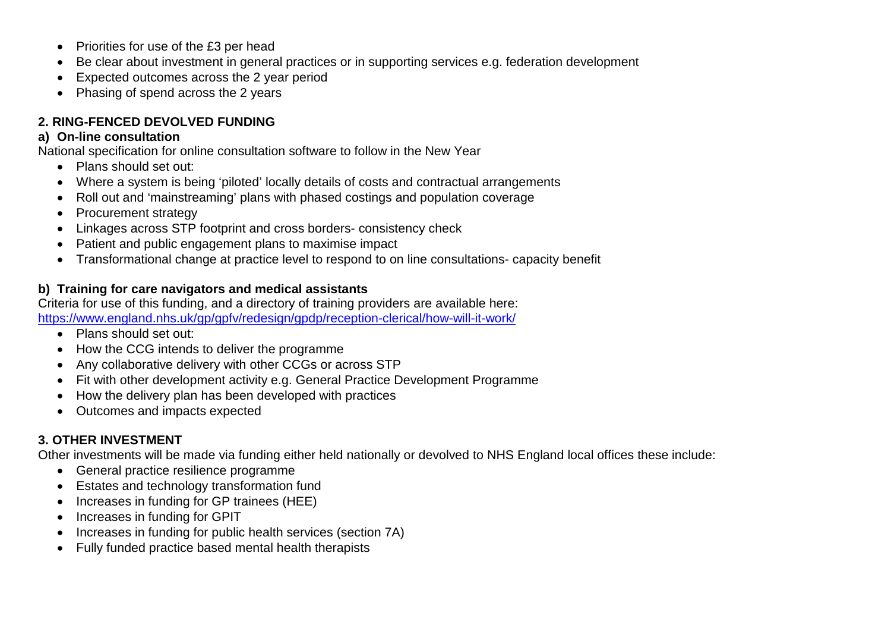- Priorities for use of the £3 per head
- Be clear about investment in general practices or in supporting services e.g. federation development
- Expected outcomes across the 2 year period
- Phasing of spend across the 2 years

## **2. RING-FENCED DEVOLVED FUNDING**

#### **a) On-line consultation**

National specification for online consultation software to follow in the New Year

- Plans should set out:
- Where a system is being 'piloted' locally details of costs and contractual arrangements
- Roll out and 'mainstreaming' plans with phased costings and population coverage
- Procurement strategy
- Linkages across STP footprint and cross borders- consistency check
- Patient and public engagement plans to maximise impact
- Transformational change at practice level to respond to on line consultations- capacity benefit

#### **b) Training for care navigators and medical assistants**

Criteria for use of this funding, and a directory of training providers are available here: <https://www.england.nhs.uk/gp/gpfv/redesign/gpdp/reception-clerical/how-will-it-work/>

- Plans should set out:
- How the CCG intends to deliver the programme
- Any collaborative delivery with other CCGs or across STP
- Fit with other development activity e.g. General Practice Development Programme
- How the delivery plan has been developed with practices
- Outcomes and impacts expected

## **3. OTHER INVESTMENT**

Other investments will be made via funding either held nationally or devolved to NHS England local offices these include:

- General practice resilience programme
- Estates and technology transformation fund
- Increases in funding for GP trainees (HEE)
- Increases in funding for GPIT
- Increases in funding for public health services (section 7A)
- Fully funded practice based mental health therapists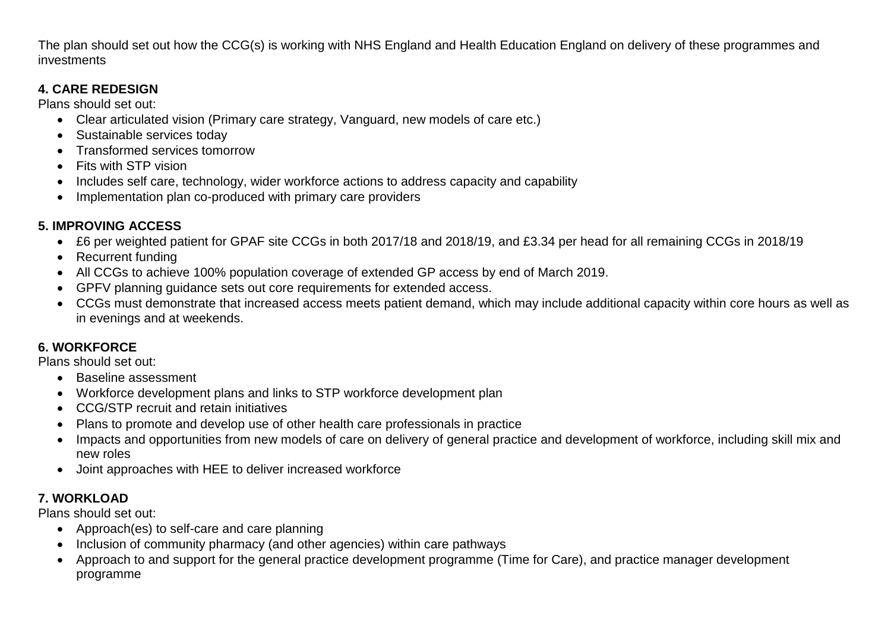The plan should set out how the CCG(s) is working with NHS England and Health Education England on delivery of these programmes and investments

## **4. CARE REDESIGN**

Plans should set out:

- Clear articulated vision (Primary care strategy, Vanguard, new models of care etc.)
- Sustainable services today
- Transformed services tomorrow
- Fits with STP vision
- Includes self care, technology, wider workforce actions to address capacity and capability
- Implementation plan co-produced with primary care providers

# **5. IMPROVING ACCESS**

- £6 per weighted patient for GPAF site CCGs in both 2017/18 and 2018/19, and £3.34 per head for all remaining CCGs in 2018/19
- Recurrent funding
- All CCGs to achieve 100% population coverage of extended GP access by end of March 2019.
- GPFV planning guidance sets out core requirements for extended access.
- CCGs must demonstrate that increased access meets patient demand, which may include additional capacity within core hours as well as in evenings and at weekends.

# **6. WORKFORCE**

Plans should set out:

- Baseline assessment
- Workforce development plans and links to STP workforce development plan
- CCG/STP recruit and retain initiatives
- Plans to promote and develop use of other health care professionals in practice
- Impacts and opportunities from new models of care on delivery of general practice and development of workforce, including skill mix and new roles
- Joint approaches with HEE to deliver increased workforce

# **7. WORKLOAD**

Plans should set out:

- Approach(es) to self-care and care planning
- Inclusion of community pharmacy (and other agencies) within care pathways
- Approach to and support for the general practice development programme (Time for Care), and practice manager development programme